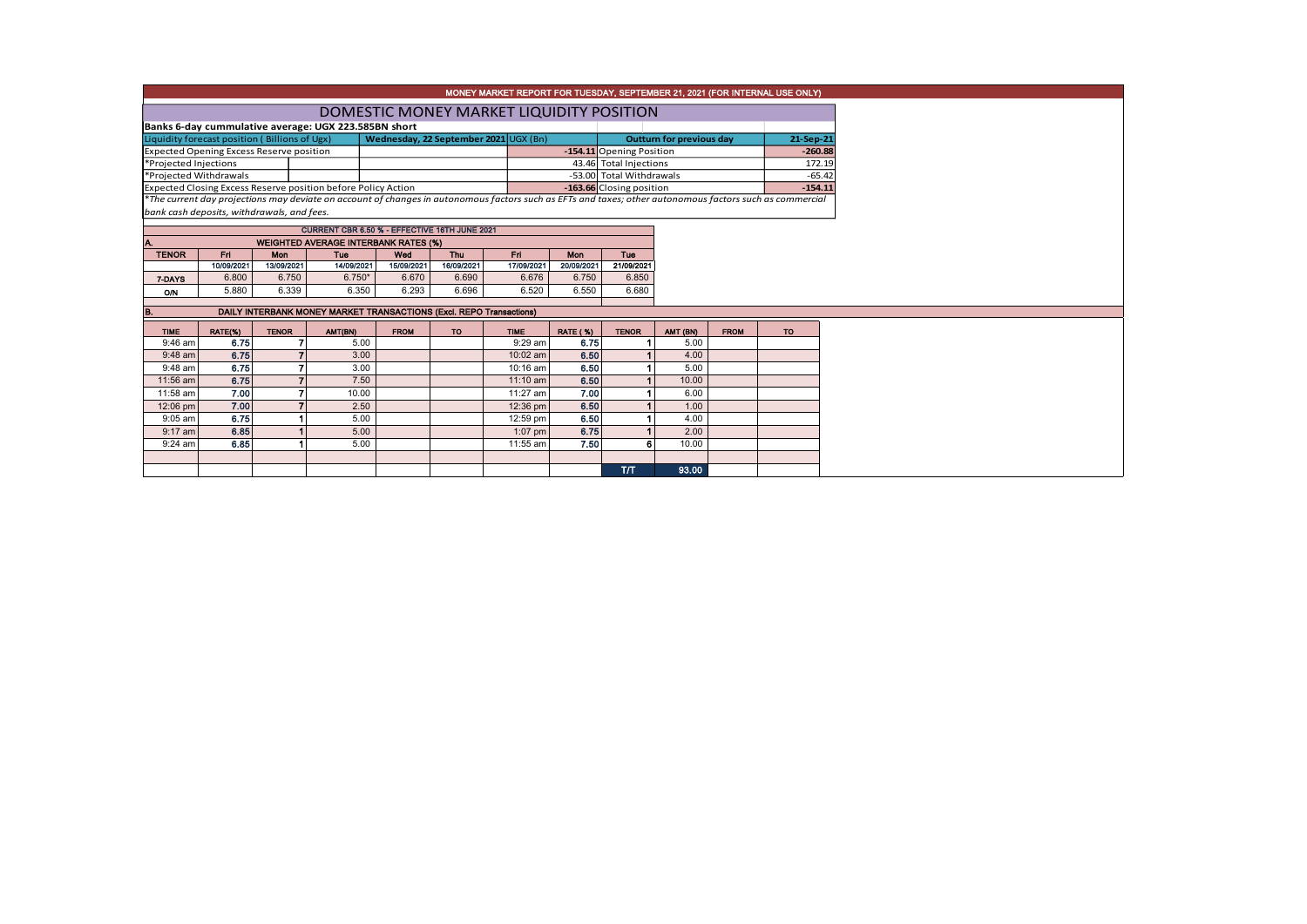|                                                      |                                          |                |                                                               |                                                                     |                          |             |                 |                          |          |             | MONEY MARKET REPORT FOR TUESDAY, SEPTEMBER 21, 2021 (FOR INTERNAL USE ONLY)                                                                              |  |  |  |  |
|------------------------------------------------------|------------------------------------------|----------------|---------------------------------------------------------------|---------------------------------------------------------------------|--------------------------|-------------|-----------------|--------------------------|----------|-------------|----------------------------------------------------------------------------------------------------------------------------------------------------------|--|--|--|--|
|                                                      | DOMESTIC MONEY MARKET LIQUIDITY POSITION |                |                                                               |                                                                     |                          |             |                 |                          |          |             |                                                                                                                                                          |  |  |  |  |
| Banks 6-day cummulative average: UGX 223.585BN short |                                          |                |                                                               |                                                                     |                          |             |                 |                          |          |             |                                                                                                                                                          |  |  |  |  |
| Liquidity forecast position (Billions of Ugx)        |                                          |                | <b>Outturn for previous day</b>                               |                                                                     | 21-Sep-21                |             |                 |                          |          |             |                                                                                                                                                          |  |  |  |  |
| Expected Opening Excess Reserve position             |                                          |                | Wednesday, 22 September 2021 UGX (Bn)                         |                                                                     | -154.11 Opening Position |             |                 | $-260.88$                |          |             |                                                                                                                                                          |  |  |  |  |
| *Projected Injections                                |                                          |                |                                                               |                                                                     |                          |             |                 | 43.46 Total Injections   |          |             | 172.19                                                                                                                                                   |  |  |  |  |
| *Projected Withdrawals                               |                                          |                |                                                               |                                                                     |                          |             |                 | -53.00 Total Withdrawals |          |             | $-65.42$                                                                                                                                                 |  |  |  |  |
|                                                      |                                          |                | Expected Closing Excess Reserve position before Policy Action |                                                                     |                          |             |                 | -163.66 Closing position |          |             | $-154.11$                                                                                                                                                |  |  |  |  |
|                                                      |                                          |                |                                                               |                                                                     |                          |             |                 |                          |          |             | *The current day projections may deviate on account of changes in autonomous factors such as EFTs and taxes; other autonomous factors such as commercial |  |  |  |  |
| bank cash deposits, withdrawals, and fees.           |                                          |                |                                                               |                                                                     |                          |             |                 |                          |          |             |                                                                                                                                                          |  |  |  |  |
|                                                      |                                          |                |                                                               | CURRENT CBR 6.50 % - EFFECTIVE 16TH JUNE 2021                       |                          |             |                 |                          |          |             |                                                                                                                                                          |  |  |  |  |
|                                                      |                                          |                |                                                               | <b>WEIGHTED AVERAGE INTERBANK RATES (%)</b>                         |                          |             |                 |                          |          |             |                                                                                                                                                          |  |  |  |  |
| <b>TENOR</b>                                         | Fri.                                     | <b>Mon</b>     | Tuo                                                           | Wed                                                                 | Thu                      | Fri.        | <b>Mon</b>      | Tuo                      |          |             |                                                                                                                                                          |  |  |  |  |
|                                                      | 10/09/2021                               | 13/09/2021     | 14/09/2021                                                    | 15/09/2021                                                          | 16/09/2021               | 17/09/2021  | 20/09/2021      | 21/09/2021               |          |             |                                                                                                                                                          |  |  |  |  |
| 7-DAYS                                               | 6.800                                    | 6.750          | $6.750*$                                                      | 6.670                                                               | 6.690                    | 6.676       | 6.750           | 6.850                    |          |             |                                                                                                                                                          |  |  |  |  |
| O/N                                                  | 5.880                                    | 6.339          | 6.350                                                         | 6.293                                                               | 6.696                    | 6.520       | 6.550           | 6.680                    |          |             |                                                                                                                                                          |  |  |  |  |
| в.                                                   |                                          |                |                                                               | DAILY INTERBANK MONEY MARKET TRANSACTIONS (Excl. REPO Transactions) |                          |             |                 |                          |          |             |                                                                                                                                                          |  |  |  |  |
| <b>TIME</b>                                          | RATE(%)                                  | <b>TENOR</b>   | AMT(BN)                                                       | <b>FROM</b>                                                         | <b>TO</b>                | <b>TIME</b> | <b>RATE (%)</b> | <b>TENOR</b>             | AMT (BN) | <b>FROM</b> | <b>TO</b>                                                                                                                                                |  |  |  |  |
| $9:46$ am                                            | 6.75                                     |                | 5.00                                                          |                                                                     |                          | 9:29 am     | 6.75            |                          | 5.00     |             |                                                                                                                                                          |  |  |  |  |
| $9:48$ am                                            | 6.75                                     | $\overline{7}$ | 3.00                                                          |                                                                     |                          | 10:02 am    | 6.50            |                          | 4.00     |             |                                                                                                                                                          |  |  |  |  |
| 9:48 am                                              | 6.75                                     | $\overline{7}$ | 3.00                                                          |                                                                     |                          | 10:16 am    | 6.50            |                          | 5.00     |             |                                                                                                                                                          |  |  |  |  |
| 11:56 am                                             | 6.75                                     | $\overline{7}$ | 7.50                                                          |                                                                     |                          | $11:10$ am  | 6.50            |                          | 10.00    |             |                                                                                                                                                          |  |  |  |  |
| 11:58 am                                             | 7.00                                     |                | 10.00                                                         |                                                                     |                          | 11:27 am    | 7.00            |                          | 6.00     |             |                                                                                                                                                          |  |  |  |  |
| 12:06 pm                                             | 7.00                                     | $\overline{ }$ | 2.50                                                          |                                                                     |                          | 12:36 pm    | 6.50            |                          | 1.00     |             |                                                                                                                                                          |  |  |  |  |
| $9:05$ am                                            | 6.75                                     |                | 5.00                                                          |                                                                     |                          | 12:59 pm    | 6.50            |                          | 4.00     |             |                                                                                                                                                          |  |  |  |  |
| $9:17$ am                                            | 6.85                                     |                | 5.00                                                          |                                                                     |                          | $1:07$ pm   | 6.75            |                          | 2.00     |             |                                                                                                                                                          |  |  |  |  |
| $9:24$ am                                            | 6.85                                     |                | 5.00                                                          |                                                                     |                          | 11:55 am    | 7.50            |                          | 10.00    |             |                                                                                                                                                          |  |  |  |  |
|                                                      |                                          |                |                                                               |                                                                     |                          |             |                 | T/T                      | 93.00    |             |                                                                                                                                                          |  |  |  |  |
|                                                      |                                          |                |                                                               |                                                                     |                          |             |                 |                          |          |             |                                                                                                                                                          |  |  |  |  |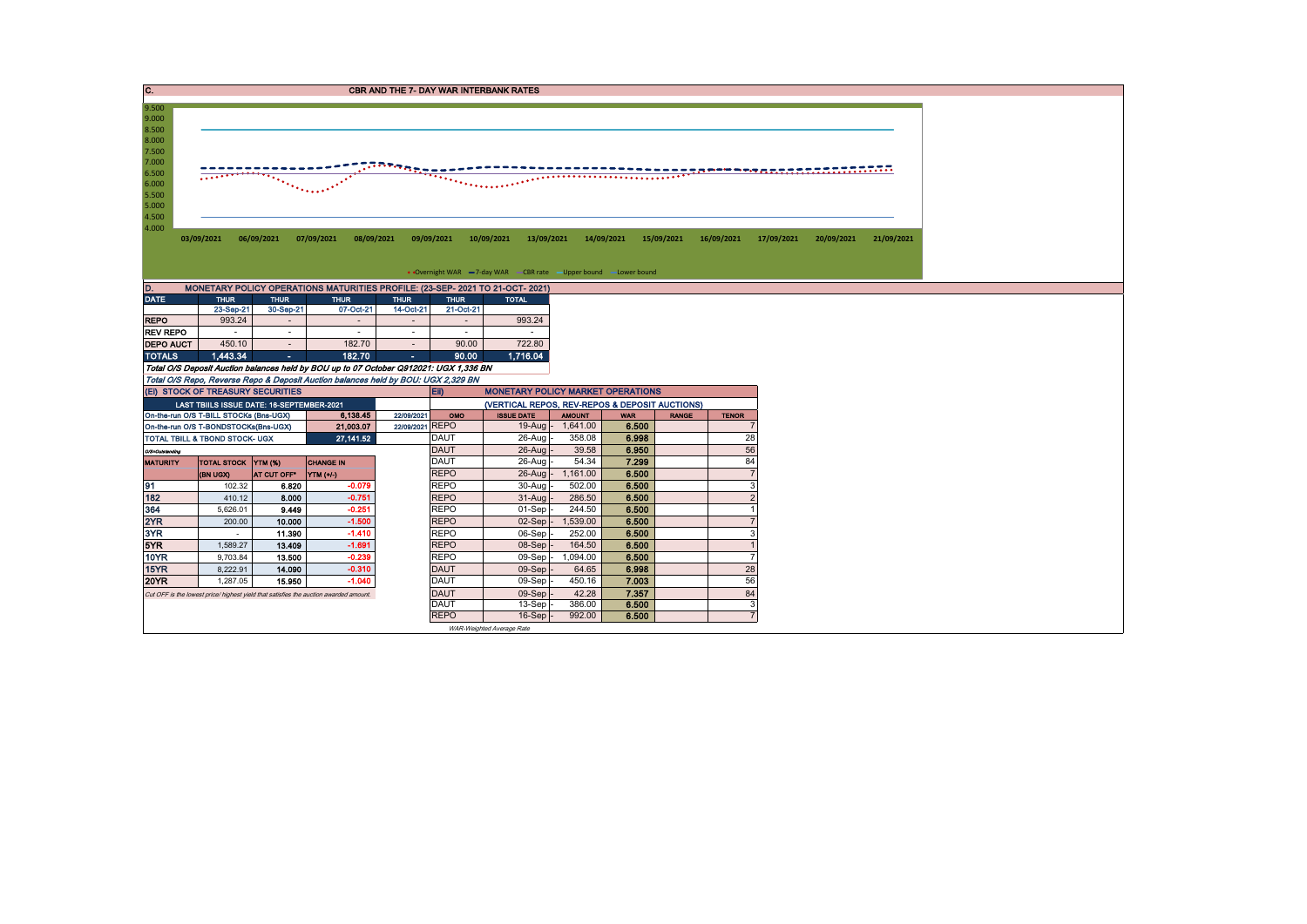| $\overline{c}$ .                                                                                         |                                                                                       |                                                                                                                                                                                                                                                |                                                                                       |                 |                            | <b>CBR AND THE 7- DAY WAR INTERBANK RATES</b>                                                 |                  |                |              |                |            |            |            |  |  |
|----------------------------------------------------------------------------------------------------------|---------------------------------------------------------------------------------------|------------------------------------------------------------------------------------------------------------------------------------------------------------------------------------------------------------------------------------------------|---------------------------------------------------------------------------------------|-----------------|----------------------------|-----------------------------------------------------------------------------------------------|------------------|----------------|--------------|----------------|------------|------------|------------|--|--|
| 9.500<br>9.000<br>8.500<br>8.000<br>7.500<br>7.000<br>6.500<br>6.000<br>5.500<br>5.000<br>4.500<br>4.000 | 03/09/2021                                                                            | ing pagpal ng pagkalang ng pagpagang ng pagpagang ng pagpagang ng pagpagang ng pagpagang ng pagpagang ng pagpa<br>Pangangang ng pagpagang ng pagpagang ng pagpagang ng pagpagang ng pagpagang ng pagpagang na pagpagang naging p<br>06/09/2021 | 07/09/2021<br>08/09/2021                                                              |                 | 09/09/2021                 | 10/09/2021<br>13/09/2021<br>• Overnight WAR -7-day WAR - CBR rate - Upper bound - Lower bound |                  | 14/09/2021     | 15/09/2021   | 16/09/2021     | 17/09/2021 | 20/09/2021 | 21/09/2021 |  |  |
| D.                                                                                                       |                                                                                       |                                                                                                                                                                                                                                                | MONETARY POLICY OPERATIONS MATURITIES PROFILE: (23-SEP- 2021 TO 21-OCT- 2021)         |                 |                            |                                                                                               |                  |                |              |                |            |            |            |  |  |
| <b>DATE</b>                                                                                              | <b>THUR</b>                                                                           | <b>THUR</b>                                                                                                                                                                                                                                    | <b>THUR</b>                                                                           | <b>THUR</b>     | <b>THUR</b>                | <b>TOTAL</b>                                                                                  |                  |                |              |                |            |            |            |  |  |
|                                                                                                          | 23-Sep-21                                                                             | 30-Sep-21                                                                                                                                                                                                                                      | 07-Oct-21                                                                             | 14-Oct-21       | 21-Oct-21                  |                                                                                               |                  |                |              |                |            |            |            |  |  |
| <b>REPO</b>                                                                                              | 993.24                                                                                | $\sim$                                                                                                                                                                                                                                         |                                                                                       |                 |                            | 993.24                                                                                        |                  |                |              |                |            |            |            |  |  |
| <b>REV REPO</b>                                                                                          | $\sim$                                                                                | $\sim$                                                                                                                                                                                                                                         | $\sim$                                                                                | $\sim$          | $\sim$                     | $\sim$                                                                                        |                  |                |              |                |            |            |            |  |  |
| <b>DEPO AUCT</b>                                                                                         | 450.10                                                                                | $\sim$                                                                                                                                                                                                                                         | 182.70                                                                                | $\sim$          | 90.00                      | 722.80                                                                                        |                  |                |              |                |            |            |            |  |  |
| <b>TOTALS</b>                                                                                            | 1.443.34                                                                              | ×.                                                                                                                                                                                                                                             | 182.70                                                                                | ÷.              | 90.00                      | 1.716.04                                                                                      |                  |                |              |                |            |            |            |  |  |
|                                                                                                          |                                                                                       |                                                                                                                                                                                                                                                | Total O/S Deposit Auction balances held by BOU up to 07 October Q912021: UGX 1,336 BN |                 |                            |                                                                                               |                  |                |              |                |            |            |            |  |  |
|                                                                                                          | (EI) STOCK OF TREASURY SECURITIES                                                     |                                                                                                                                                                                                                                                | Total O/S Repo, Reverse Repo & Deposit Auction balances held by BOU: UGX 2,329 BN     |                 | <b>EID</b>                 |                                                                                               |                  |                |              |                |            |            |            |  |  |
|                                                                                                          | LAST TBIILS ISSUE DATE: 16-SEPTEMBER-2021                                             |                                                                                                                                                                                                                                                |                                                                                       |                 |                            | <b>MONETARY POLICY MARKET OPERATIONS</b><br>(VERTICAL REPOS, REV-REPOS & DEPOSIT AUCTIONS)    |                  |                |              |                |            |            |            |  |  |
|                                                                                                          | On-the-run O/S T-BILL STOCKs (Bns-UGX)                                                |                                                                                                                                                                                                                                                | 6,138.45                                                                              | 22/09/2021      | OMO                        | <b>ISSUE DATE</b>                                                                             | <b>AMOUNT</b>    | <b>WAR</b>     | <b>RANGE</b> | <b>TENOR</b>   |            |            |            |  |  |
|                                                                                                          | On-the-run O/S T-BONDSTOCKs(Bns-UGX)                                                  |                                                                                                                                                                                                                                                | 21,003.07                                                                             | 22/09/2021 REPO |                            | $19-Aug$ -                                                                                    | 1,641.00         | 6.500          |              | $\overline{7}$ |            |            |            |  |  |
|                                                                                                          | TOTAL TBILL & TBOND STOCK- UGX                                                        |                                                                                                                                                                                                                                                | 27, 141.52                                                                            |                 | <b>DAUT</b>                | 26-Aug                                                                                        | 358.08           | 6.998          |              | 28             |            |            |            |  |  |
| O/S=Outstanding                                                                                          |                                                                                       |                                                                                                                                                                                                                                                |                                                                                       |                 | <b>DAUT</b>                | $26$ -Aug                                                                                     | 39.58            | 6.950          |              | 56             |            |            |            |  |  |
| <b>MATURITY</b>                                                                                          | <b>TOTAL STOCK YTM (%)</b>                                                            |                                                                                                                                                                                                                                                | <b>CHANGE IN</b>                                                                      |                 | DAUT                       | 26-Aug                                                                                        | 54.34            | 7.299          |              | 84             |            |            |            |  |  |
|                                                                                                          | (BN UGX)                                                                              | AT CUT OFF*                                                                                                                                                                                                                                    | VTM(1')                                                                               |                 | <b>REPO</b>                | $26$ -Aug                                                                                     | 1,161.00         | 6.500          |              | $\overline{7}$ |            |            |            |  |  |
| 91                                                                                                       | 102.32                                                                                | 6.820                                                                                                                                                                                                                                          | $-0.079$                                                                              |                 | <b>REPO</b>                | 30-Aug                                                                                        | 502.00           | 6.500          |              | 3              |            |            |            |  |  |
| 182                                                                                                      | 410.12                                                                                | 8.000                                                                                                                                                                                                                                          | $-0.751$                                                                              |                 | <b>REPO</b>                | 31-Aug                                                                                        | 286.50           | 6.500          |              | $\overline{2}$ |            |            |            |  |  |
| 364                                                                                                      | 5,626.01                                                                              | 9.449                                                                                                                                                                                                                                          | $-0.251$                                                                              |                 | <b>REPO</b>                | 01-Sep                                                                                        | 244.50           | 6.500          |              |                |            |            |            |  |  |
| 2YR                                                                                                      | 200.00                                                                                | 10.000                                                                                                                                                                                                                                         | $-1.500$                                                                              |                 | <b>REPO</b>                | 02-Sep                                                                                        | 1,539.00         | 6.500          |              | $\overline{7}$ |            |            |            |  |  |
|                                                                                                          |                                                                                       |                                                                                                                                                                                                                                                |                                                                                       |                 | <b>REPO</b>                | 06-Sep                                                                                        | 252.00           | 6.500          |              | 3              |            |            |            |  |  |
| 3YR                                                                                                      | $\sim$                                                                                | 11.390                                                                                                                                                                                                                                         | $-1.410$                                                                              |                 |                            |                                                                                               |                  |                |              |                |            |            |            |  |  |
| 5YR                                                                                                      | 1,589.27                                                                              | 13.409                                                                                                                                                                                                                                         | $-1.691$                                                                              |                 | <b>REPO</b>                | 08-Sep                                                                                        | 164.50           | 6.500          |              |                |            |            |            |  |  |
| <b>10YR</b>                                                                                              | 9,703.84                                                                              | 13,500                                                                                                                                                                                                                                         | $-0.239$                                                                              |                 | <b>REPO</b>                | $09-Sep$                                                                                      | 1,094.00         | 6.500          |              |                |            |            |            |  |  |
| 15YR                                                                                                     | 8,222.91                                                                              | 14.090                                                                                                                                                                                                                                         | $-0.310$                                                                              |                 | <b>DAUT</b>                | $09-Sep$                                                                                      | 64.65            | 6.998          |              | 28             |            |            |            |  |  |
| <b>20YR</b>                                                                                              | 1,287.05                                                                              | 15.950                                                                                                                                                                                                                                         | $-1.040$                                                                              |                 | <b>DAUT</b>                | 09-Sep                                                                                        | 450.16           | 7.003          |              | 56             |            |            |            |  |  |
|                                                                                                          | Cut OFF is the lowest price/ highest yield that satisfies the auction awarded amount. |                                                                                                                                                                                                                                                |                                                                                       |                 | <b>DAUT</b>                | 09-Sep                                                                                        | 42.28            | 7.357          |              | 84             |            |            |            |  |  |
|                                                                                                          |                                                                                       |                                                                                                                                                                                                                                                |                                                                                       |                 | <b>DAUT</b><br><b>REPO</b> | 13-Sep<br>16-Sep                                                                              | 386.00<br>992.00 | 6.500<br>6.500 |              | 3              |            |            |            |  |  |